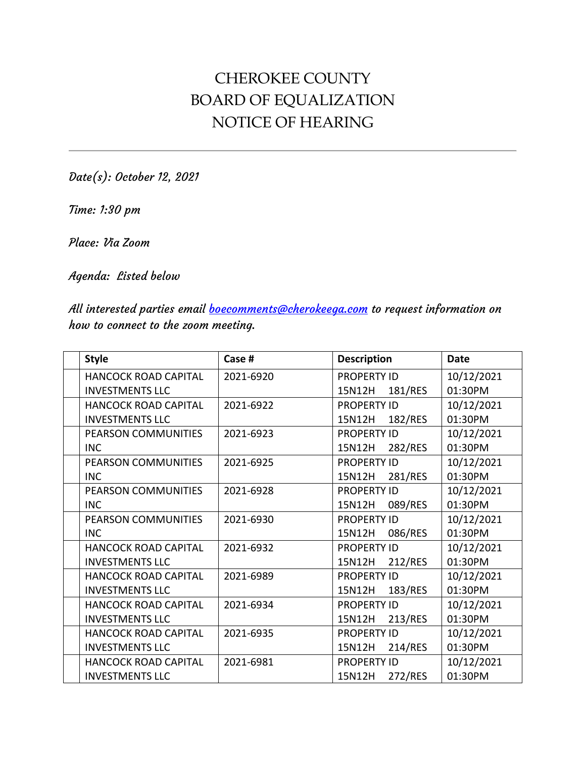## CHEROKEE COUNTY BOARD OF EQUALIZATION NOTICE OF HEARING

Date(s): October 12, 2021

Time: 1:30 pm

Place: Via Zoom

Agenda: Listed below

All interested parties email **boecomments@cherokeega.com** to request information on how to connect to the zoom meeting.

| <b>Style</b>                | Case #    | <b>Description</b> | <b>Date</b> |
|-----------------------------|-----------|--------------------|-------------|
| <b>HANCOCK ROAD CAPITAL</b> | 2021-6920 | <b>PROPERTY ID</b> | 10/12/2021  |
| <b>INVESTMENTS LLC</b>      |           | 15N12H<br>181/RES  | 01:30PM     |
| <b>HANCOCK ROAD CAPITAL</b> | 2021-6922 | <b>PROPERTY ID</b> | 10/12/2021  |
| <b>INVESTMENTS LLC</b>      |           | 15N12H<br>182/RES  | 01:30PM     |
| PEARSON COMMUNITIES         | 2021-6923 | <b>PROPERTY ID</b> | 10/12/2021  |
| <b>INC</b>                  |           | 282/RES<br>15N12H  | 01:30PM     |
| <b>PEARSON COMMUNITIES</b>  | 2021-6925 | <b>PROPERTY ID</b> | 10/12/2021  |
| <b>INC</b>                  |           | 281/RES<br>15N12H  | 01:30PM     |
| <b>PEARSON COMMUNITIES</b>  | 2021-6928 | <b>PROPERTY ID</b> | 10/12/2021  |
| <b>INC</b>                  |           | 15N12H<br>089/RES  | 01:30PM     |
| <b>PEARSON COMMUNITIES</b>  | 2021-6930 | <b>PROPERTY ID</b> | 10/12/2021  |
| <b>INC</b>                  |           | 15N12H<br>086/RES  | 01:30PM     |
| <b>HANCOCK ROAD CAPITAL</b> | 2021-6932 | <b>PROPERTY ID</b> | 10/12/2021  |
| <b>INVESTMENTS LLC</b>      |           | 15N12H<br>212/RES  | 01:30PM     |
| <b>HANCOCK ROAD CAPITAL</b> | 2021-6989 | <b>PROPERTY ID</b> | 10/12/2021  |
| <b>INVESTMENTS LLC</b>      |           | 183/RES<br>15N12H  | 01:30PM     |
| HANCOCK ROAD CAPITAL        | 2021-6934 | <b>PROPERTY ID</b> | 10/12/2021  |
| <b>INVESTMENTS LLC</b>      |           | 213/RES<br>15N12H  | 01:30PM     |
| <b>HANCOCK ROAD CAPITAL</b> | 2021-6935 | <b>PROPERTY ID</b> | 10/12/2021  |
| <b>INVESTMENTS LLC</b>      |           | 15N12H<br>214/RES  | 01:30PM     |
| <b>HANCOCK ROAD CAPITAL</b> | 2021-6981 | <b>PROPERTY ID</b> | 10/12/2021  |
| <b>INVESTMENTS LLC</b>      |           | 272/RES<br>15N12H  | 01:30PM     |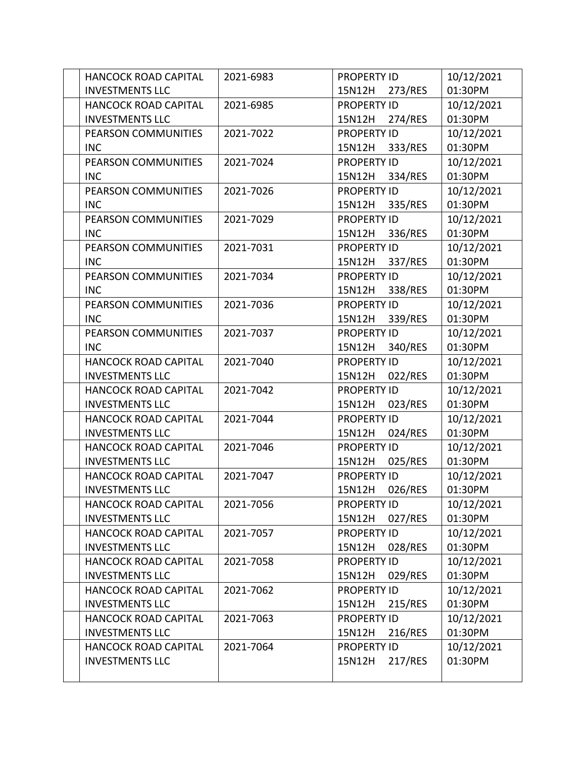| HANCOCK ROAD CAPITAL        | 2021-6983 | <b>PROPERTY ID</b> | 10/12/2021 |
|-----------------------------|-----------|--------------------|------------|
| <b>INVESTMENTS LLC</b>      |           | 15N12H<br>273/RES  | 01:30PM    |
| HANCOCK ROAD CAPITAL        | 2021-6985 | <b>PROPERTY ID</b> | 10/12/2021 |
| <b>INVESTMENTS LLC</b>      |           | 274/RES<br>15N12H  | 01:30PM    |
| PEARSON COMMUNITIES         | 2021-7022 | <b>PROPERTY ID</b> | 10/12/2021 |
| <b>INC</b>                  |           | 333/RES<br>15N12H  | 01:30PM    |
| PEARSON COMMUNITIES         | 2021-7024 | <b>PROPERTY ID</b> | 10/12/2021 |
| <b>INC</b>                  |           | 334/RES<br>15N12H  | 01:30PM    |
| PEARSON COMMUNITIES         | 2021-7026 | <b>PROPERTY ID</b> | 10/12/2021 |
| <b>INC</b>                  |           | 335/RES<br>15N12H  | 01:30PM    |
| PEARSON COMMUNITIES         | 2021-7029 | <b>PROPERTY ID</b> | 10/12/2021 |
| <b>INC</b>                  |           | 336/RES<br>15N12H  | 01:30PM    |
| PEARSON COMMUNITIES         | 2021-7031 | <b>PROPERTY ID</b> | 10/12/2021 |
| <b>INC</b>                  |           | 15N12H<br>337/RES  | 01:30PM    |
| PEARSON COMMUNITIES         | 2021-7034 | <b>PROPERTY ID</b> | 10/12/2021 |
| <b>INC</b>                  |           | 338/RES<br>15N12H  | 01:30PM    |
| PEARSON COMMUNITIES         | 2021-7036 | <b>PROPERTY ID</b> | 10/12/2021 |
| <b>INC</b>                  |           | 15N12H<br>339/RES  | 01:30PM    |
| PEARSON COMMUNITIES         | 2021-7037 | <b>PROPERTY ID</b> | 10/12/2021 |
| <b>INC</b>                  |           | 15N12H<br>340/RES  | 01:30PM    |
| <b>HANCOCK ROAD CAPITAL</b> | 2021-7040 | <b>PROPERTY ID</b> | 10/12/2021 |
| <b>INVESTMENTS LLC</b>      |           | 15N12H<br>022/RES  | 01:30PM    |
| <b>HANCOCK ROAD CAPITAL</b> | 2021-7042 | <b>PROPERTY ID</b> | 10/12/2021 |
| <b>INVESTMENTS LLC</b>      |           | 023/RES<br>15N12H  | 01:30PM    |
| <b>HANCOCK ROAD CAPITAL</b> | 2021-7044 | <b>PROPERTY ID</b> | 10/12/2021 |
| <b>INVESTMENTS LLC</b>      |           | 15N12H<br>024/RES  | 01:30PM    |
| HANCOCK ROAD CAPITAL        | 2021-7046 | <b>PROPERTY ID</b> | 10/12/2021 |
| <b>INVESTMENTS LLC</b>      |           | 15N12H<br>025/RES  | 01:30PM    |
| HANCOCK ROAD CAPITAL        | 2021-7047 | <b>PROPERTY ID</b> | 10/12/2021 |
| <b>INVESTMENTS LLC</b>      |           | 026/RES<br>15N12H  | 01:30PM    |
| <b>HANCOCK ROAD CAPITAL</b> | 2021-7056 | <b>PROPERTY ID</b> | 10/12/2021 |
| <b>INVESTMENTS LLC</b>      |           | 15N12H<br>027/RES  | 01:30PM    |
| <b>HANCOCK ROAD CAPITAL</b> | 2021-7057 | <b>PROPERTY ID</b> | 10/12/2021 |
| <b>INVESTMENTS LLC</b>      |           | 15N12H<br>028/RES  | 01:30PM    |
| <b>HANCOCK ROAD CAPITAL</b> | 2021-7058 | <b>PROPERTY ID</b> | 10/12/2021 |
| <b>INVESTMENTS LLC</b>      |           | 029/RES<br>15N12H  | 01:30PM    |
| HANCOCK ROAD CAPITAL        | 2021-7062 | <b>PROPERTY ID</b> | 10/12/2021 |
| <b>INVESTMENTS LLC</b>      |           | 215/RES<br>15N12H  | 01:30PM    |
| HANCOCK ROAD CAPITAL        | 2021-7063 | <b>PROPERTY ID</b> | 10/12/2021 |
| <b>INVESTMENTS LLC</b>      |           | 15N12H<br>216/RES  | 01:30PM    |
| <b>HANCOCK ROAD CAPITAL</b> | 2021-7064 | <b>PROPERTY ID</b> | 10/12/2021 |
| <b>INVESTMENTS LLC</b>      |           | 217/RES<br>15N12H  | 01:30PM    |
|                             |           |                    |            |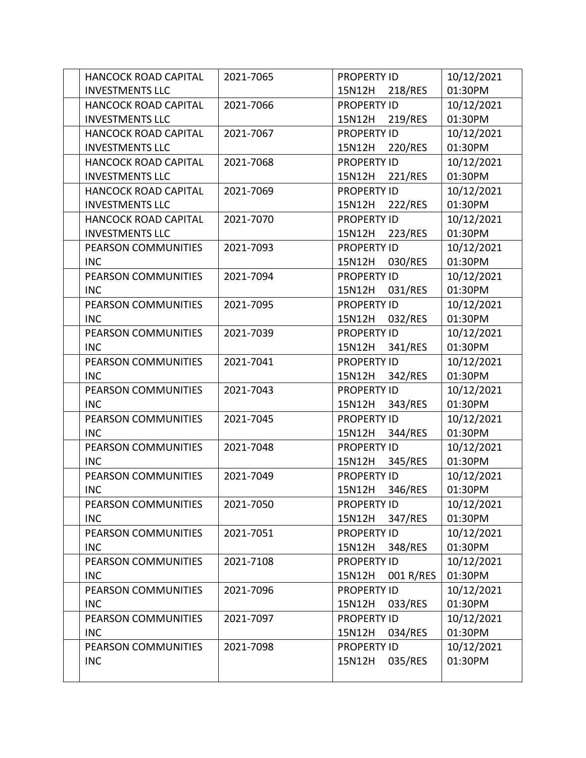| <b>HANCOCK ROAD CAPITAL</b> | 2021-7065 | <b>PROPERTY ID</b>  | 10/12/2021 |
|-----------------------------|-----------|---------------------|------------|
| <b>INVESTMENTS LLC</b>      |           | 15N12H<br>218/RES   | 01:30PM    |
| <b>HANCOCK ROAD CAPITAL</b> | 2021-7066 | <b>PROPERTY ID</b>  | 10/12/2021 |
| <b>INVESTMENTS LLC</b>      |           | 15N12H<br>219/RES   | 01:30PM    |
| <b>HANCOCK ROAD CAPITAL</b> | 2021-7067 | <b>PROPERTY ID</b>  | 10/12/2021 |
| <b>INVESTMENTS LLC</b>      |           | 220/RES<br>15N12H   | 01:30PM    |
| <b>HANCOCK ROAD CAPITAL</b> | 2021-7068 | <b>PROPERTY ID</b>  | 10/12/2021 |
| <b>INVESTMENTS LLC</b>      |           | 221/RES<br>15N12H   | 01:30PM    |
| <b>HANCOCK ROAD CAPITAL</b> | 2021-7069 | <b>PROPERTY ID</b>  | 10/12/2021 |
| <b>INVESTMENTS LLC</b>      |           | 222/RES<br>15N12H   | 01:30PM    |
| <b>HANCOCK ROAD CAPITAL</b> | 2021-7070 | <b>PROPERTY ID</b>  | 10/12/2021 |
| <b>INVESTMENTS LLC</b>      |           | 223/RES<br>15N12H   | 01:30PM    |
| PEARSON COMMUNITIES         | 2021-7093 | <b>PROPERTY ID</b>  | 10/12/2021 |
| <b>INC</b>                  |           | 030/RES<br>15N12H   | 01:30PM    |
| PEARSON COMMUNITIES         | 2021-7094 | <b>PROPERTY ID</b>  | 10/12/2021 |
| <b>INC</b>                  |           | 031/RES<br>15N12H   | 01:30PM    |
| PEARSON COMMUNITIES         | 2021-7095 | <b>PROPERTY ID</b>  | 10/12/2021 |
| <b>INC</b>                  |           | 032/RES<br>15N12H   | 01:30PM    |
| <b>PEARSON COMMUNITIES</b>  | 2021-7039 | <b>PROPERTY ID</b>  | 10/12/2021 |
| <b>INC</b>                  |           | 341/RES<br>15N12H   | 01:30PM    |
| PEARSON COMMUNITIES         | 2021-7041 | <b>PROPERTY ID</b>  | 10/12/2021 |
| <b>INC</b>                  |           | 15N12H<br>342/RES   | 01:30PM    |
| PEARSON COMMUNITIES         | 2021-7043 | <b>PROPERTY ID</b>  | 10/12/2021 |
| <b>INC</b>                  |           | 343/RES<br>15N12H   | 01:30PM    |
| PEARSON COMMUNITIES         | 2021-7045 | <b>PROPERTY ID</b>  | 10/12/2021 |
| <b>INC</b>                  |           | 15N12H<br>344/RES   | 01:30PM    |
| PEARSON COMMUNITIES         | 2021-7048 | <b>PROPERTY ID</b>  | 10/12/2021 |
| <b>INC</b>                  |           | 15N12H<br>345/RES   | 01:30PM    |
| PEARSON COMMUNITIES         | 2021-7049 | <b>PROPERTY ID</b>  | 10/12/2021 |
| <b>INC</b>                  |           | 346/RES<br>15N12H   | 01:30PM    |
| PEARSON COMMUNITIES         | 2021-7050 | <b>PROPERTY ID</b>  | 10/12/2021 |
| <b>INC</b>                  |           | 15N12H<br>347/RES   | 01:30PM    |
| PEARSON COMMUNITIES         | 2021-7051 | <b>PROPERTY ID</b>  | 10/12/2021 |
| <b>INC</b>                  |           | 15N12H<br>348/RES   | 01:30PM    |
| PEARSON COMMUNITIES         | 2021-7108 | <b>PROPERTY ID</b>  | 10/12/2021 |
| <b>INC</b>                  |           | 001 R/RES<br>15N12H | 01:30PM    |
| <b>PEARSON COMMUNITIES</b>  | 2021-7096 | <b>PROPERTY ID</b>  | 10/12/2021 |
| <b>INC</b>                  |           | 15N12H<br>033/RES   | 01:30PM    |
| PEARSON COMMUNITIES         | 2021-7097 | <b>PROPERTY ID</b>  | 10/12/2021 |
| <b>INC</b>                  |           | 15N12H<br>034/RES   | 01:30PM    |
| PEARSON COMMUNITIES         | 2021-7098 | <b>PROPERTY ID</b>  | 10/12/2021 |
| <b>INC</b>                  |           | 035/RES<br>15N12H   | 01:30PM    |
|                             |           |                     |            |